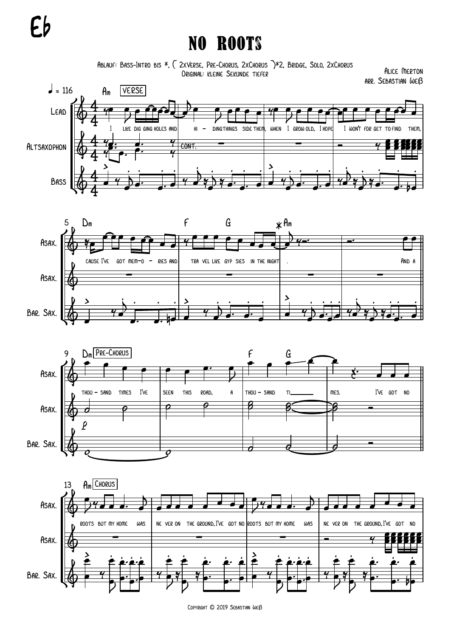## Eb

## No Roots

Ablauf: Bass-Intro bis \*, { 2xVerse, Pre-Chorus, 2xChorus }\*2, Bridge, Solo, 2xChorus Original: kleine Sekunde tiefer

Alice Merton arr. Sebastian Weiß









Copyright © 2019 Sebastian Weiß